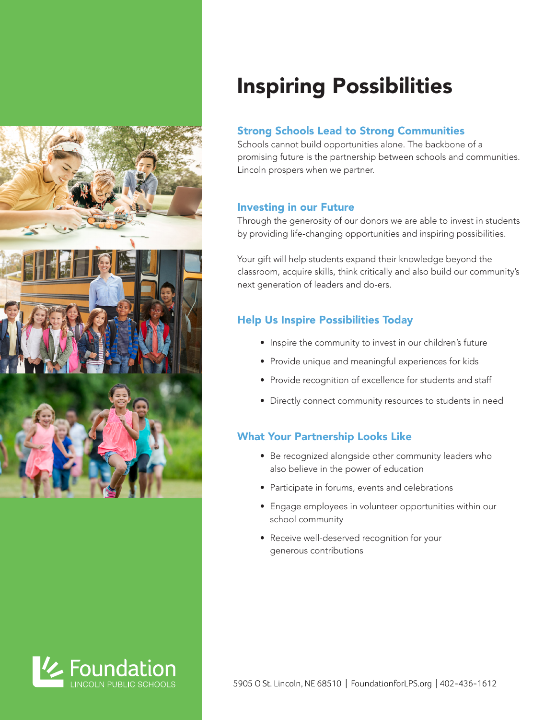



# Inspiring Possibilities

### Strong Schools Lead to Strong Communities

Schools cannot build opportunities alone. The backbone of a promising future is the partnership between schools and communities. Lincoln prospers when we partner.

#### Investing in our Future

Through the generosity of our donors we are able to invest in students by providing life-changing opportunities and inspiring possibilities.

Your gift will help students expand their knowledge beyond the classroom, acquire skills, think critically and also build our community's next generation of leaders and do-ers.

## Help Us Inspire Possibilities Today

- Inspire the community to invest in our children's future
- Provide unique and meaningful experiences for kids
- Provide recognition of excellence for students and staff
- Directly connect community resources to students in need

### What Your Partnership Looks Like

- Be recognized alongside other community leaders who also believe in the power of education
- Participate in forums, events and celebrations
- Engage employees in volunteer opportunities within our school community
- Receive well-deserved recognition for your generous contributions